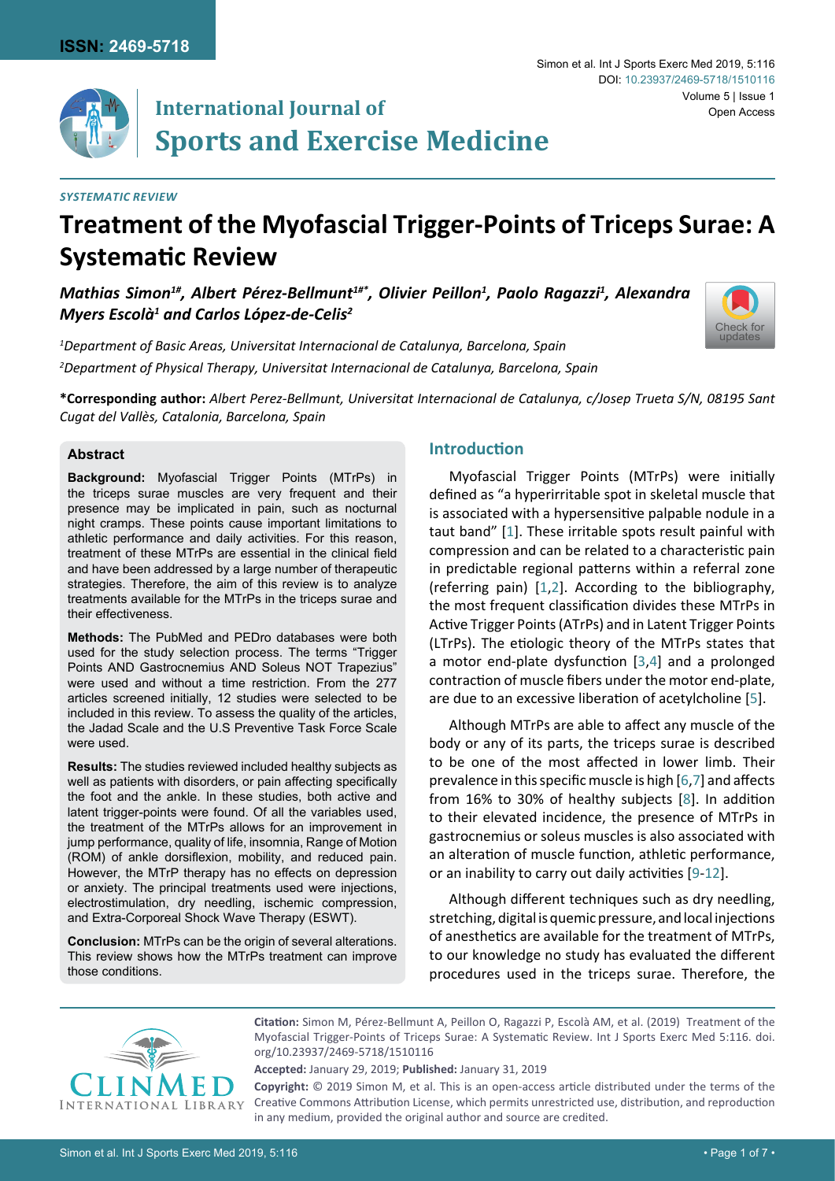[Check for](http://crossmark.crossref.org/dialog/?doi=10.23937/2469-5718/1510116&domain=pdf) updates



# **International Journal of Sports and Exercise Medicine**

#### *Systematic Review*

## **Treatment of the Myofascial Trigger-Points of Triceps Surae: A Systematic Review**

*Mathias Simon1#, Albert Pérez-Bellmunt1#\*, Olivier Peillon1 , Paolo Ragazzi1 , Alexandra Myers Escolà1 and Carlos López-de-Celis2*

*1 Department of Basic Areas, Universitat Internacional de Catalunya, Barcelona, Spain 2 Department of Physical Therapy, Universitat Internacional de Catalunya, Barcelona, Spain*



### **Abstract**

**Background:** Myofascial Trigger Points (MTrPs) in the triceps surae muscles are very frequent and their presence may be implicated in pain, such as nocturnal night cramps. These points cause important limitations to athletic performance and daily activities. For this reason, treatment of these MTrPs are essential in the clinical field and have been addressed by a large number of therapeutic strategies. Therefore, the aim of this review is to analyze treatments available for the MTrPs in the triceps surae and their effectiveness.

**Methods:** The PubMed and PEDro databases were both used for the study selection process. The terms "Trigger Points AND Gastrocnemius AND Soleus NOT Trapezius" were used and without a time restriction. From the 277 articles screened initially, 12 studies were selected to be included in this review. To assess the quality of the articles, the Jadad Scale and the U.S Preventive Task Force Scale were used.

**Results:** The studies reviewed included healthy subjects as well as patients with disorders, or pain affecting specifically the foot and the ankle. In these studies, both active and latent trigger-points were found. Of all the variables used, the treatment of the MTrPs allows for an improvement in jump performance, quality of life, insomnia, Range of Motion (ROM) of ankle dorsiflexion, mobility, and reduced pain. However, the MTrP therapy has no effects on depression or anxiety. The principal treatments used were injections, electrostimulation, dry needling, ischemic compression, and Extra-Corporeal Shock Wave Therapy (ESWT).

**Conclusion:** MTrPs can be the origin of several alterations. This review shows how the MTrPs treatment can improve those conditions.

## **Introduction**

Myofascial Trigger Points (MTrPs) were initially defined as "a hyperirritable spot in skeletal muscle that is associated with a hypersensitive palpable nodule in a taut band" [[1](#page-5-0)]. These irritable spots result painful with compression and can be related to a characteristic pain in predictable regional patterns within a referral zone (referring pain) [[1,](#page-5-0)[2](#page-5-1)]. According to the bibliography, the most frequent classification divides these MTrPs in Active Trigger Points (ATrPs) and in Latent Trigger Points (LTrPs). The etiologic theory of the MTrPs states that a motor end-plate dysfunction [[3](#page-5-2)[,4](#page-5-3)] and a prolonged contraction of muscle fibers under the motor end-plate, are due to an excessive liberation of acetylcholine [[5](#page-5-4)].

Although MTrPs are able to affect any muscle of the body or any of its parts, the triceps surae is described to be one of the most affected in lower limb. Their prevalence in this specific muscle is high [[6](#page-5-5),[7](#page-5-6)] and affects from 16% to 30% of healthy subjects [\[8\]](#page-5-7). In addition to their elevated incidence, the presence of MTrPs in gastrocnemius or soleus muscles is also associated with an alteration of muscle function, athletic performance, or an inability to carry out daily activities [[9](#page-5-8)[-12\]](#page-6-0).

Although different techniques such as dry needling, stretching, digital is quemic pressure, and local injections of anesthetics are available for the treatment of MTrPs, to our knowledge no study has evaluated the different procedures used in the triceps surae. Therefore, the



**Citation:** Simon M, Pérez-Bellmunt A, Peillon O, Ragazzi P, Escolà AM, et al. (2019) Treatment of the Myofascial Trigger-Points of Triceps Surae: A Systematic Review. Int J Sports Exerc Med 5:116. [doi.](https://doi.org/10.23937/2469-5718/1510116) [org/10.23937/2469-5718/1510116](https://doi.org/10.23937/2469-5718/1510116)

**Accepted:** January 29, 2019; **Published:** January 31, 2019

**Copyright:** © 2019 Simon M, et al. This is an open-access article distributed under the terms of the Creative Commons Attribution License, which permits unrestricted use, distribution, and reproduction in any medium, provided the original author and source are credited.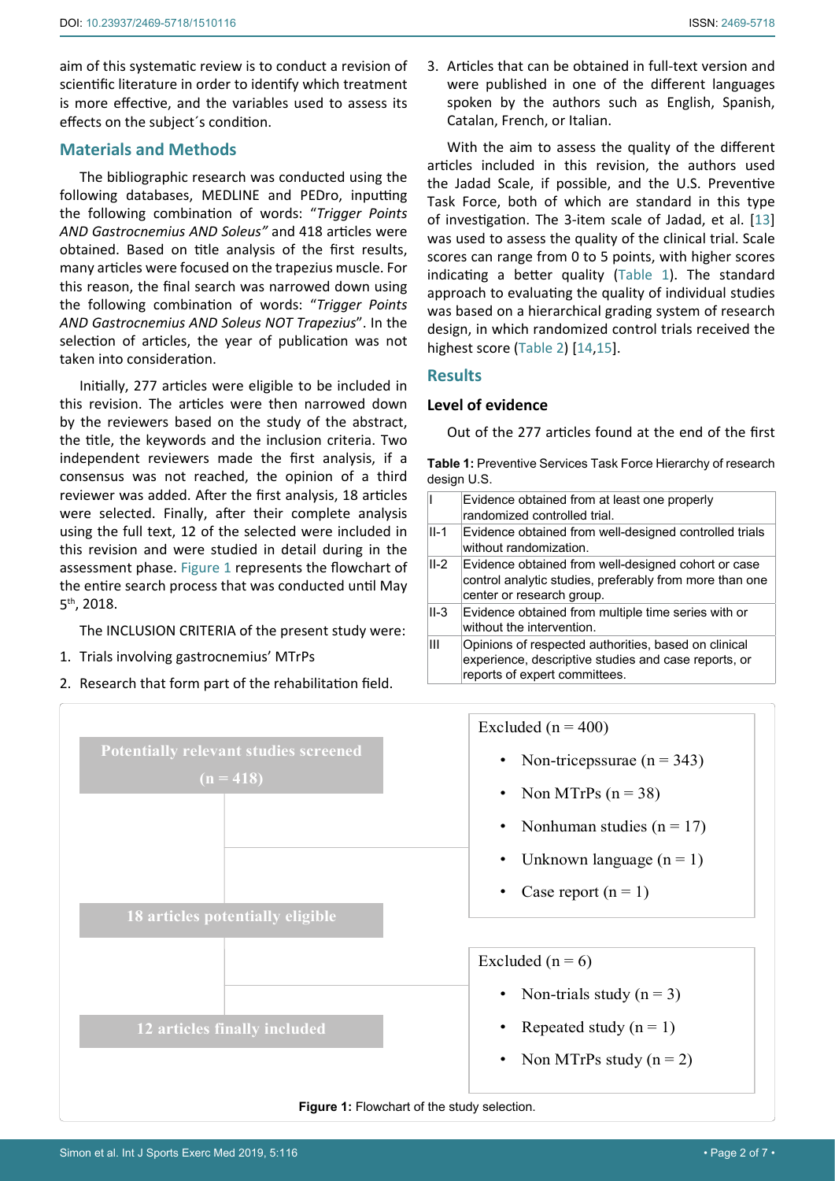aim of this systematic review is to conduct a revision of scientific literature in order to identify which treatment is more effective, and the variables used to assess its effects on the subject´s condition.

## **Materials and Methods**

The bibliographic research was conducted using the following databases, MEDLINE and PEDro, inputting the following combination of words: "*Trigger Points AND Gastrocnemius AND Soleus"* and 418 articles were obtained. Based on title analysis of the first results, many articles were focused on the trapezius muscle. For this reason, the final search was narrowed down using the following combination of words: "*Trigger Points AND Gastrocnemius AND Soleus NOT Trapezius*". In the selection of articles, the year of publication was not taken into consideration.

Initially, 277 articles were eligible to be included in this revision. The articles were then narrowed down by the reviewers based on the study of the abstract, the title, the keywords and the inclusion criteria. Two independent reviewers made the first analysis, if a consensus was not reached, the opinion of a third reviewer was added. After the first analysis, 18 articles were selected. Finally, after their complete analysis using the full text, 12 of the selected were included in this revision and were studied in detail during in the assessment phase. [Figure 1](#page-1-0) represents the flowchart of the entire search process that was conducted until May 5th, 2018.

The INCLUSION CRITERIA of the present study were:

1. Trials involving gastrocnemius' MTrPs

<span id="page-1-0"></span>Ĩ

2. Research that form part of the rehabilitation field.

**Potentially relevant studies screened**

 $(n = 418)$ 

**18 articles potentially eligible**

**12 articles finally included**

With the aim to assess the quality of the different articles included in this revision, the authors used the Jadad Scale, if possible, and the U.S. Preventive Task Force, both of which are standard in this type of investigation. The 3-item scale of Jadad, et al. [[13](#page-6-1)] was used to assess the quality of the clinical trial. Scale scores can range from 0 to 5 points, with higher scores indicating a better quality ([Table 1](#page-1-1)). The standard approach to evaluating the quality of individual studies was based on a hierarchical grading system of research design, in which randomized control trials received the highest score ([Table 2](#page-2-0)) [[14,](#page-6-2)[15](#page-6-3)].

## **Results**

## **Level of evidence**

Out of the 277 articles found at the end of the first

<span id="page-1-1"></span>**Table 1:** Preventive Services Task Force Hierarchy of research design U.S.

|        | Evidence obtained from at least one properly<br>randomized controlled trial.                                                                  |
|--------|-----------------------------------------------------------------------------------------------------------------------------------------------|
| $II-1$ | Evidence obtained from well-designed controlled trials<br>without randomization.                                                              |
| $II-2$ | Evidence obtained from well-designed cohort or case<br>control analytic studies, preferably from more than one<br>center or research group.   |
| $II-3$ | Evidence obtained from multiple time series with or<br>without the intervention.                                                              |
| Ш      | Opinions of respected authorities, based on clinical<br>experience, descriptive studies and case reports, or<br>reports of expert committees. |

Excluded ( $n = 400$ )

- Non-triceps surae  $(n = 343)$
- Non MTrPs  $(n = 38)$
- Nonhuman studies ( $n = 17$ )
- Unknown language  $(n = 1)$
- Case report  $(n = 1)$

## Excluded  $(n = 6)$

- Non-trials study  $(n = 3)$
- Repeated study  $(n = 1)$
- Non MTrPs study  $(n = 2)$

#### **Figure 1:** Flowchart of the study selection.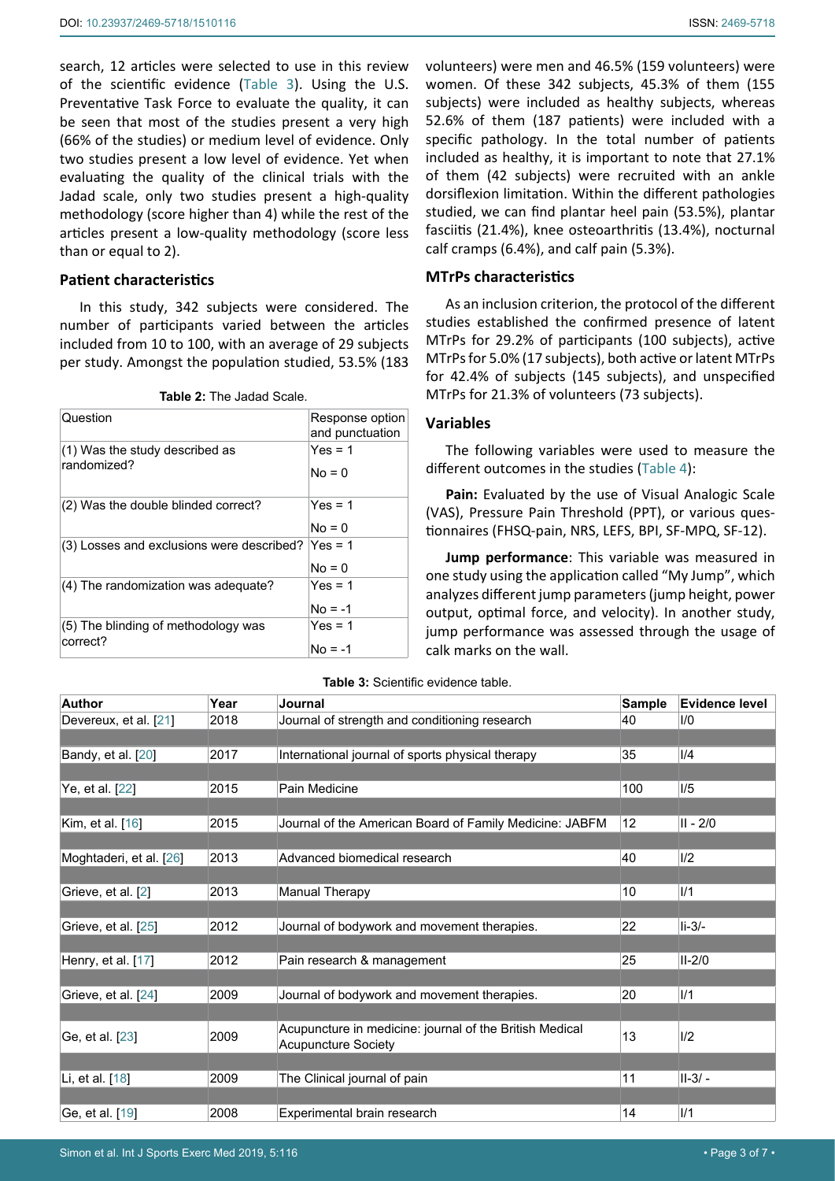search, 12 articles were selected to use in this review of the scientific evidence ([Table 3\)](#page-2-1). Using the U.S. Preventative Task Force to evaluate the quality, it can be seen that most of the studies present a very high (66% of the studies) or medium level of evidence. Only two studies present a low level of evidence. Yet when evaluating the quality of the clinical trials with the Jadad scale, only two studies present a high-quality methodology (score higher than 4) while the rest of the articles present a low-quality methodology (score less than or equal to 2).

#### **Patient characteristics**

In this study, 342 subjects were considered. The number of participants varied between the articles included from 10 to 100, with an average of 29 subjects per study. Amongst the population studied, 53.5% (183

<span id="page-2-0"></span>

|  |  | <b>Table 2: The Jadad Scale.</b> |  |
|--|--|----------------------------------|--|
|--|--|----------------------------------|--|

| Question                                        | Response option<br>and punctuation |
|-------------------------------------------------|------------------------------------|
| (1) Was the study described as<br>randomized?   | $Yes = 1$<br>$No = 0$              |
| (2) Was the double blinded correct?             | $Yes = 1$<br>$No = 0$              |
| (3) Losses and exclusions were described?       | $Yes = 1$<br>$No = 0$              |
| (4) The randomization was adequate?             | $Yes = 1$<br>$No = -1$             |
| (5) The blinding of methodology was<br>correct? | $Yes = 1$<br>$No = -1$             |

volunteers) were men and 46.5% (159 volunteers) were women. Of these 342 subjects, 45.3% of them (155 subjects) were included as healthy subjects, whereas 52.6% of them (187 patients) were included with a specific pathology. In the total number of patients included as healthy, it is important to note that 27.1% of them (42 subjects) were recruited with an ankle dorsiflexion limitation. Within the different pathologies studied, we can find plantar heel pain (53.5%), plantar fasciitis (21.4%), knee osteoarthritis (13.4%), nocturnal calf cramps (6.4%), and calf pain (5.3%).

#### **MTrPs characteristics**

As an inclusion criterion, the protocol of the different studies established the confirmed presence of latent MTrPs for 29.2% of participants (100 subjects), active MTrPs for 5.0% (17 subjects), both active or latent MTrPs for 42.4% of subjects (145 subjects), and unspecified MTrPs for 21.3% of volunteers (73 subjects).

#### **Variables**

The following variables were used to measure the different outcomes in the studies ([Table 4](#page-3-0)):

**Pain:** Evaluated by the use of Visual Analogic Scale (VAS), Pressure Pain Threshold (PPT), or various questionnaires (FHSQ-pain, NRS, LEFS, BPI, SF-MPQ, SF-12).

**Jump performance**: This variable was measured in one study using the application called "My Jump", which analyzes different jump parameters (jump height, power output, optimal force, and velocity). In another study, jump performance was assessed through the usage of calk marks on the wall.

| Author                  | Year | Journal                                                 | <b>Sample</b> | <b>Evidence level</b> |
|-------------------------|------|---------------------------------------------------------|---------------|-----------------------|
| Devereux, et al. [21]   | 2018 | Journal of strength and conditioning research           | 40            | 1/0                   |
|                         |      |                                                         |               |                       |
| Bandy, et al. [20]      | 2017 | International journal of sports physical therapy        | 35            | 1/4                   |
|                         |      |                                                         |               |                       |
| Ye, et al. [22]         | 2015 | Pain Medicine                                           | 100           | 1/5                   |
|                         |      |                                                         |               |                       |
| Kim, et al. $[16]$      | 2015 | Journal of the American Board of Family Medicine: JABFM | 12            | $II - 2/0$            |
|                         |      |                                                         |               |                       |
| Moghtaderi, et al. [26] | 2013 | Advanced biomedical research                            | 40            | 1/2                   |
|                         |      |                                                         |               |                       |
| Grieve, et al. [2]      | 2013 | Manual Therapy                                          | 10            | 1/1                   |
|                         |      |                                                         |               |                       |
| Grieve, et al. [25]     | 2012 | Journal of bodywork and movement therapies.             | 22            | $li-3/-$              |
|                         |      |                                                         |               |                       |
| Henry, et al. [17]      | 2012 | Pain research & management                              | 25            | $II-2/0$              |
|                         |      |                                                         |               |                       |
| Grieve, et al. [24]     | 2009 | Journal of bodywork and movement therapies.             | 20            | 1/1                   |
|                         |      |                                                         |               |                       |
| Ge, et al. [23]         | 2009 | Acupuncture in medicine: journal of the British Medical | 13            | 1/2                   |
|                         |      | <b>Acupuncture Society</b>                              |               |                       |
|                         |      |                                                         |               |                       |
| Li, et al. [18]         | 2009 | The Clinical journal of pain                            | 11            | $II-3/-$              |
|                         |      |                                                         |               |                       |
| Ge, et al. [19]         | 2008 | Experimental brain research                             | 14            | 1/1                   |

<span id="page-2-1"></span>**Table 3:** Scientific evidence table.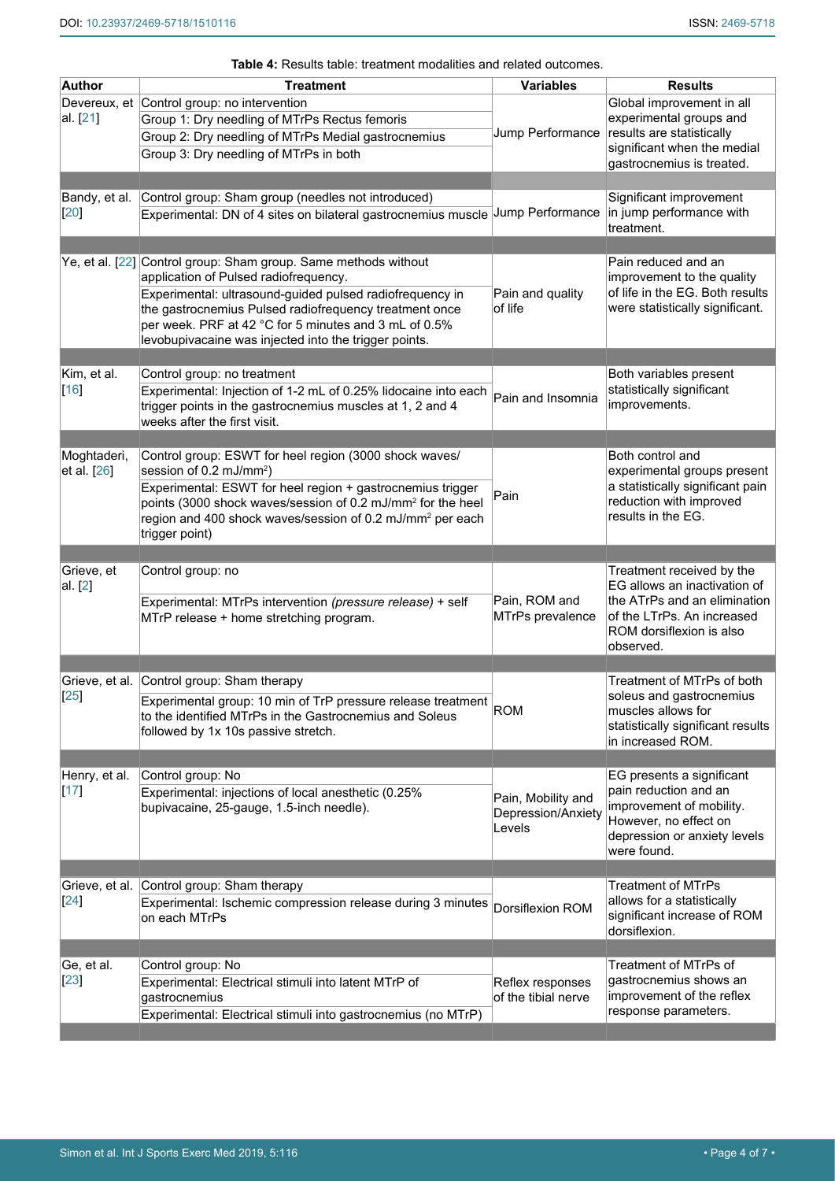| Author                                                  | Treatment                                                                                                                                                                                                                                                                                                                                        | <b>Variables</b>                                   | <b>Results</b>                                                                                                                                         |
|---------------------------------------------------------|--------------------------------------------------------------------------------------------------------------------------------------------------------------------------------------------------------------------------------------------------------------------------------------------------------------------------------------------------|----------------------------------------------------|--------------------------------------------------------------------------------------------------------------------------------------------------------|
| al. [21]                                                | Devereux, et Control group: no intervention<br>Group 1: Dry needling of MTrPs Rectus femoris<br>Group 2: Dry needling of MTrPs Medial gastrocnemius<br>Group 3: Dry needling of MTrPs in both                                                                                                                                                    | Jump Performance                                   | Global improvement in all<br>experimental groups and<br>results are statistically<br>significant when the medial<br>gastrocnemius is treated.          |
| Bandy, et al.<br>[20]                                   | Control group: Sham group (needles not introduced)<br>Experimental: DN of 4 sites on bilateral gastrocnemius muscle                                                                                                                                                                                                                              | Jump Performance                                   | Significant improvement<br>in jump performance with<br>treatment.                                                                                      |
|                                                         | Ye, et al. [22] Control group: Sham group. Same methods without<br>application of Pulsed radiofrequency.<br>Experimental: ultrasound-guided pulsed radiofrequency in<br>the gastrocnemius Pulsed radiofrequency treatment once<br>per week. PRF at 42 °C for 5 minutes and 3 mL of 0.5%<br>levobupivacaine was injected into the trigger points. | Pain and quality<br>of life                        | Pain reduced and an<br>improvement to the quality<br>of life in the EG. Both results<br>were statistically significant.                                |
| Kim, et al.<br>$[16]$                                   | Control group: no treatment<br>Experimental: Injection of 1-2 mL of 0.25% lidocaine into each<br>trigger points in the gastrocnemius muscles at 1, 2 and 4<br>weeks after the first visit.                                                                                                                                                       | Pain and Insomnia                                  | Both variables present<br>statistically significant<br>improvements.                                                                                   |
| Moghtaderi,<br>et al. [26]                              | Control group: ESWT for heel region (3000 shock waves/<br>session of 0.2 mJ/mm <sup>2</sup> )<br>Experimental: ESWT for heel region + gastrocnemius trigger<br>points (3000 shock waves/session of 0.2 mJ/mm <sup>2</sup> for the heel<br>region and 400 shock waves/session of 0.2 mJ/mm <sup>2</sup> per each<br>trigger point)                | Pain                                               | Both control and<br>experimental groups present<br>a statistically significant pain<br>reduction with improved<br>results in the EG.                   |
| Grieve, et<br>al. [2]                                   | Control group: no<br>Experimental: MTrPs intervention (pressure release) + self                                                                                                                                                                                                                                                                  | Pain, ROM and                                      | Treatment received by the<br>EG allows an inactivation of<br>the ATrPs and an elimination                                                              |
|                                                         | MTrP release + home stretching program.                                                                                                                                                                                                                                                                                                          | MTrPs prevalence                                   | of the LTrPs. An increased<br>ROM dorsiflexion is also<br>observed.                                                                                    |
|                                                         | Grieve, et al. Control group: Sham therapy<br>Experimental group: 10 min of TrP pressure release treatment<br>to the identified MTrPs in the Gastrocnemius and Soleus<br>followed by 1x 10s passive stretch.                                                                                                                                     | ROM                                                | Treatment of MTrPs of both<br>soleus and gastrocnemius<br>muscles allows for<br>statistically significant results<br>in increased ROM.                 |
|                                                         | Control group: No<br>Experimental: injections of local anesthetic (0.25%<br>bupivacaine, 25-gauge, 1.5-inch needle).                                                                                                                                                                                                                             | Pain, Mobility and<br>Depression/Anxiety<br>Levels | EG presents a significant<br>pain reduction and an<br>improvement of mobility.<br>However, no effect on<br>depression or anxiety levels<br>were found. |
|                                                         |                                                                                                                                                                                                                                                                                                                                                  |                                                    |                                                                                                                                                        |
| $[25]$<br>Henry, et al.<br>$[17] \label{eq:17}$<br>[24] | Grieve, et al. Control group: Sham therapy<br>Experimental: Ischemic compression release during 3 minutes<br>on each MTrPs                                                                                                                                                                                                                       | Dorsiflexion ROM                                   | <b>Treatment of MTrPs</b><br>allows for a statistically<br>significant increase of ROM<br>dorsiflexion.                                                |
| Ge, et al.                                              | Control group: No                                                                                                                                                                                                                                                                                                                                |                                                    | Treatment of MTrPs of                                                                                                                                  |

<span id="page-3-0"></span>**Table 4:** Results table: treatment modalities and related outcomes.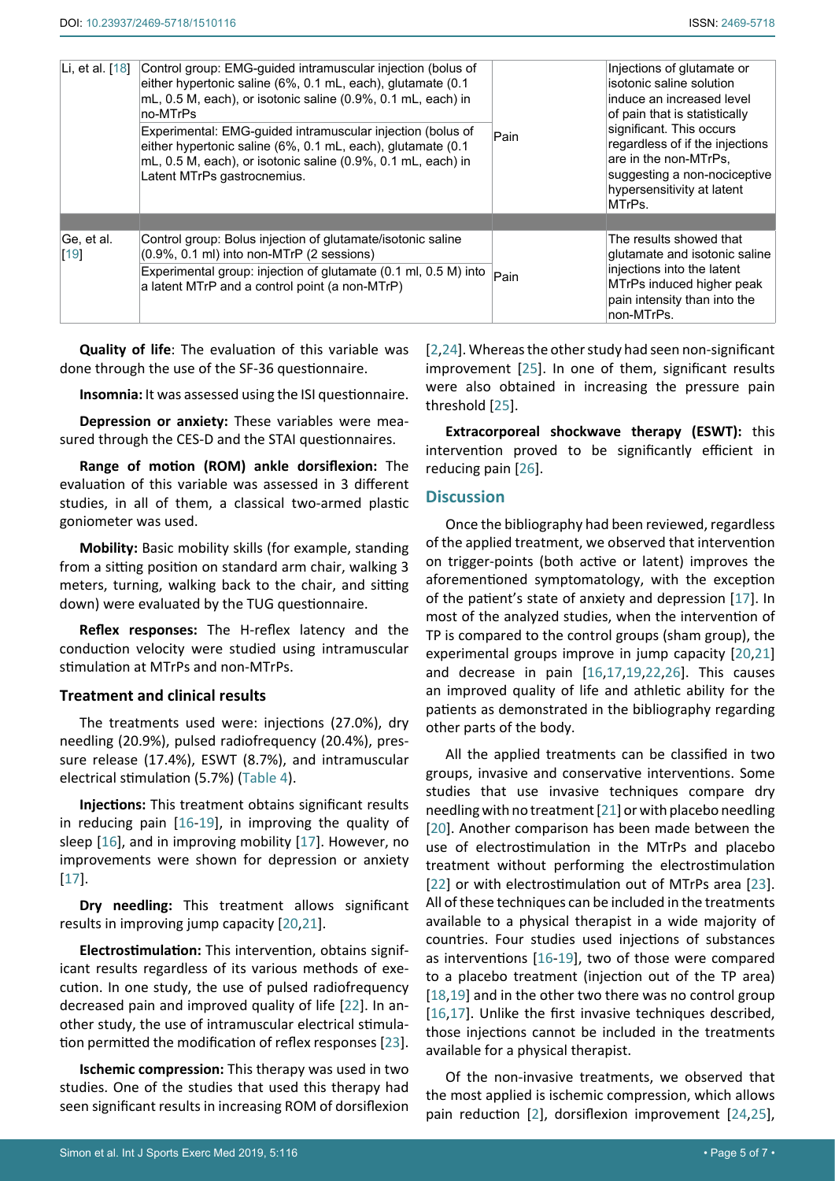| Li, et al. [18]    | Control group: EMG-guided intramuscular injection (bolus of<br>either hypertonic saline (6%, 0.1 mL, each), glutamate (0.1<br>mL, 0.5 M, each), or isotonic saline (0.9%, 0.1 mL, each) in<br>no-MTrPs<br>Experimental: EMG-quided intramuscular injection (bolus of<br>either hypertonic saline (6%, 0.1 mL, each), glutamate (0.1<br>mL, 0.5 M, each), or isotonic saline (0.9%, 0.1 mL, each) in<br>Latent MTrPs gastrocnemius. | Pain | Injections of glutamate or<br>isotonic saline solution<br>induce an increased level<br>of pain that is statistically<br>significant. This occurs<br>regardless of if the injections<br>are in the non-MTrPs,<br>suggesting a non-nociceptive<br>hypersensitivity at latent<br>MTrPs. |
|--------------------|------------------------------------------------------------------------------------------------------------------------------------------------------------------------------------------------------------------------------------------------------------------------------------------------------------------------------------------------------------------------------------------------------------------------------------|------|--------------------------------------------------------------------------------------------------------------------------------------------------------------------------------------------------------------------------------------------------------------------------------------|
|                    |                                                                                                                                                                                                                                                                                                                                                                                                                                    |      |                                                                                                                                                                                                                                                                                      |
| Ge, et al.<br>[19] | Control group: Bolus injection of glutamate/isotonic saline<br>$(0.9\%$ , 0.1 ml) into non-MTrP $(2$ sessions)<br>Experimental group: injection of glutamate (0.1 ml, 0.5 M) into<br>a latent MTrP and a control point (a non-MTrP)                                                                                                                                                                                                | Pain | The results showed that<br>glutamate and isotonic saline<br>injections into the latent<br>MTrPs induced higher peak<br>pain intensity than into the<br>non-MTrPs.                                                                                                                    |

**Quality of life**: The evaluation of this variable was done through the use of the SF-36 questionnaire.

**Insomnia:** It was assessed using the ISI questionnaire.

**Depression or anxiety:** These variables were measured through the CES-D and the STAI questionnaires.

**Range of motion (ROM) ankle dorsiflexion:** The evaluation of this variable was assessed in 3 different studies, in all of them, a classical two-armed plastic goniometer was used.

**Mobility:** Basic mobility skills (for example, standing from a sitting position on standard arm chair, walking 3 meters, turning, walking back to the chair, and sitting down) were evaluated by the TUG questionnaire.

**Reflex responses:** The H-reflex latency and the conduction velocity were studied using intramuscular stimulation at MTrPs and non-MTrPs.

#### **Treatment and clinical results**

The treatments used were: injections (27.0%), dry needling (20.9%), pulsed radiofrequency (20.4%), pressure release (17.4%), ESWT (8.7%), and intramuscular electrical stimulation (5.7%) ([Table 4](#page-3-0)).

**Injections:** This treatment obtains significant results in reducing pain [\[16](#page-6-7)-[19](#page-6-14)], in improving the quality of sleep [\[16](#page-6-7)], and in improving mobility [[17](#page-6-10)]. However, no improvements were shown for depression or anxiety [[17](#page-6-10)].

**Dry needling:** This treatment allows significant results in improving jump capacity [[20](#page-6-5)[,21\]](#page-6-4).

**Electrostimulation:** This intervention, obtains significant results regardless of its various methods of execution. In one study, the use of pulsed radiofrequency decreased pain and improved quality of life [[22](#page-6-6)]. In another study, the use of intramuscular electrical stimulation permitted the modification of reflex responses [[23](#page-6-12)].

**Ischemic compression:** This therapy was used in two studies. One of the studies that used this therapy had seen significant results in increasing ROM of dorsiflexion [[2,](#page-5-1)[24](#page-6-11)]. Whereas the other study had seen non-significant improvement [\[25](#page-6-9)]. In one of them, significant results were also obtained in increasing the pressure pain threshold [\[25](#page-6-9)].

**Extracorporeal shockwave therapy (ESWT):** this intervention proved to be significantly efficient in reducing pain [\[26](#page-6-8)].

### **Discussion**

Once the bibliography had been reviewed, regardless of the applied treatment, we observed that intervention on trigger-points (both active or latent) improves the aforementioned symptomatology, with the exception of the patient's state of anxiety and depression [[17](#page-6-10)]. In most of the analyzed studies, when the intervention of TP is compared to the control groups (sham group), the experimental groups improve in jump capacity [[20](#page-6-5)[,21](#page-6-4)] and decrease in pain [[16](#page-6-7),[17](#page-6-10)[,19,](#page-6-14)[22,](#page-6-6)[26](#page-6-8)]. This causes an improved quality of life and athletic ability for the patients as demonstrated in the bibliography regarding other parts of the body.

All the applied treatments can be classified in two groups, invasive and conservative interventions. Some studies that use invasive techniques compare dry needling with no treatment [[21](#page-6-4)] or with placebo needling [[20](#page-6-5)]. Another comparison has been made between the use of electrostimulation in the MTrPs and placebo treatment without performing the electrostimulation [[22](#page-6-6)] or with electrostimulation out of MTrPs area [[23\]](#page-6-12). All of these techniques can be included in the treatments available to a physical therapist in a wide majority of countries. Four studies used injections of substances as interventions [\[16](#page-6-7)-[19](#page-6-14)], two of those were compared to a placebo treatment (injection out of the TP area) [\[18](#page-6-13),[19](#page-6-14)] and in the other two there was no control group [\[16](#page-6-7),[17](#page-6-10)]. Unlike the first invasive techniques described, those injections cannot be included in the treatments available for a physical therapist.

Of the non-invasive treatments, we observed that the most applied is ischemic compression, which allows pain reduction [[2](#page-5-1)], dorsiflexion improvement [[24,](#page-6-11)[25](#page-6-9)],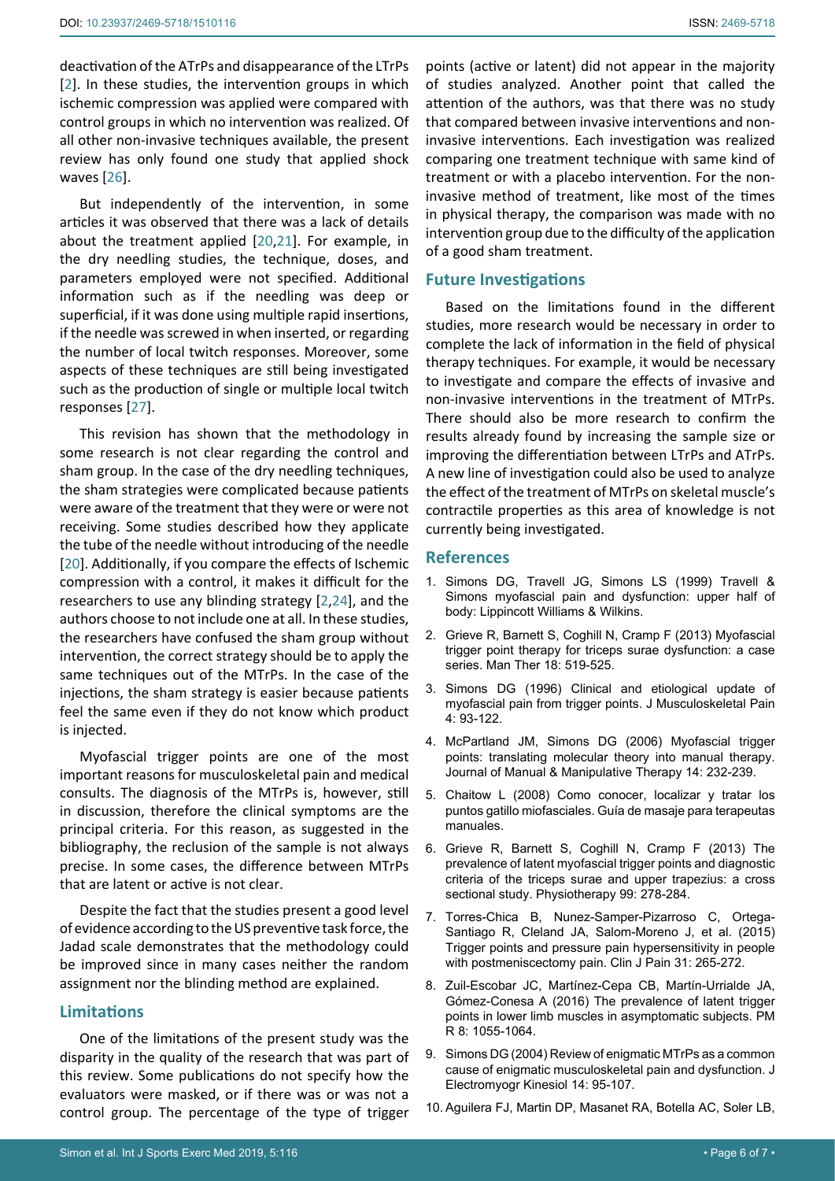deactivation of the ATrPs and disappearance of the LTrPs [[2](#page-5-1)]. In these studies, the intervention groups in which ischemic compression was applied were compared with control groups in which no intervention was realized. Of all other non-invasive techniques available, the present review has only found one study that applied shock waves [\[26](#page-6-8)].

But independently of the intervention, in some articles it was observed that there was a lack of details about the treatment applied [[20](#page-6-5)[,21](#page-6-4)]. For example, in the dry needling studies, the technique, doses, and parameters employed were not specified. Additional information such as if the needling was deep or superficial, if it was done using multiple rapid insertions, if the needle was screwed in when inserted, or regarding the number of local twitch responses. Moreover, some aspects of these techniques are still being investigated such as the production of single or multiple local twitch responses [[27\]](#page-6-15).

This revision has shown that the methodology in some research is not clear regarding the control and sham group. In the case of the dry needling techniques, the sham strategies were complicated because patients were aware of the treatment that they were or were not receiving. Some studies described how they applicate the tube of the needle without introducing of the needle [[20](#page-6-5)]. Additionally, if you compare the effects of Ischemic compression with a control, it makes it difficult for the researchers to use any blinding strategy [[2](#page-5-1),[24](#page-6-11)], and the authors choose to not include one at all. In these studies, the researchers have confused the sham group without intervention, the correct strategy should be to apply the same techniques out of the MTrPs. In the case of the injections, the sham strategy is easier because patients feel the same even if they do not know which product is injected.

Myofascial trigger points are one of the most important reasons for musculoskeletal pain and medical consults. The diagnosis of the MTrPs is, however, still in discussion, therefore the clinical symptoms are the principal criteria. For this reason, as suggested in the bibliography, the reclusion of the sample is not always precise. In some cases, the difference between MTrPs that are latent or active is not clear.

Despite the fact that the studies present a good level of evidence according to the US preventive task force, the Jadad scale demonstrates that the methodology could be improved since in many cases neither the random assignment nor the blinding method are explained.

## **Limitations**

One of the limitations of the present study was the disparity in the quality of the research that was part of this review. Some publications do not specify how the evaluators were masked, or if there was or was not a control group. The percentage of the type of trigger

points (active or latent) did not appear in the majority of studies analyzed. Another point that called the attention of the authors, was that there was no study that compared between invasive interventions and noninvasive interventions. Each investigation was realized comparing one treatment technique with same kind of treatment or with a placebo intervention. For the noninvasive method of treatment, like most of the times in physical therapy, the comparison was made with no intervention group due to the difficulty of the application of a good sham treatment.

#### **Future Investigations**

Based on the limitations found in the different studies, more research would be necessary in order to complete the lack of information in the field of physical therapy techniques. For example, it would be necessary to investigate and compare the effects of invasive and non-invasive interventions in the treatment of MTrPs. There should also be more research to confirm the results already found by increasing the sample size or improving the differentiation between LTrPs and ATrPs. A new line of investigation could also be used to analyze the effect of the treatment of MTrPs on [skeletal muscle's](https://en.wikipedia.org/wiki/Skeletal_muscles)  contractile properties as this area of knowledge is not currently being investigated.

#### **References**

- <span id="page-5-0"></span>1. Simons DG, Travell JG, Simons LS (1999) Travell & Simons myofascial pain and dysfunction: upper half of body: Lippincott Williams & Wilkins.
- <span id="page-5-1"></span>2. [Grieve R, Barnett S, Coghill N, Cramp F \(2013\) Myofascial](http://www.ncbi.nlm.nih.gov/pubmed/23756031)  [trigger point therapy for triceps surae dysfunction: a case](http://www.ncbi.nlm.nih.gov/pubmed/23756031)  [series. Man Ther 18: 519-525.](http://www.ncbi.nlm.nih.gov/pubmed/23756031)
- <span id="page-5-2"></span>3. Simons DG (1996) Clinical and etiological update of myofascial pain from trigger points. J Musculoskeletal Pain 4: 93-122.
- <span id="page-5-3"></span>4. McPartland JM, Simons DG (2006) Myofascial trigger points: translating molecular theory into manual therapy. Journal of Manual & Manipulative Therapy 14: 232-239.
- <span id="page-5-4"></span>5. Chaitow L (2008) Como conocer, localizar y tratar los puntos gatillo miofasciales. Guía de masaje para terapeutas manuales.
- <span id="page-5-5"></span>6. [Grieve R, Barnett S, Coghill N, Cramp F \(2013\) The](https://www.ncbi.nlm.nih.gov/pubmed/23830716)  [prevalence of latent myofascial trigger points and diagnostic](https://www.ncbi.nlm.nih.gov/pubmed/23830716)  [criteria of the triceps surae and upper trapezius: a cross](https://www.ncbi.nlm.nih.gov/pubmed/23830716)  [sectional study. Physiotherapy 99: 278-284.](https://www.ncbi.nlm.nih.gov/pubmed/23830716)
- <span id="page-5-6"></span>7. [Torres-Chica B, Nunez-Samper-Pizarroso C, Ortega-](https://www.ncbi.nlm.nih.gov/pubmed/24762866)[Santiago R, Cleland JA, Salom-Moreno J, et al. \(2015\)](https://www.ncbi.nlm.nih.gov/pubmed/24762866)  [Trigger points and pressure pain hypersensitivity in people](https://www.ncbi.nlm.nih.gov/pubmed/24762866)  [with postmeniscectomy pain. Clin J Pain 31: 265-272.](https://www.ncbi.nlm.nih.gov/pubmed/24762866)
- <span id="page-5-7"></span>8. [Zuil-Escobar JC, Martínez-Cepa CB, Martín-Urrialde JA,](https://www.ncbi.nlm.nih.gov/pubmed/26994884)  [Gómez-Conesa A \(2016\) The prevalence of latent trigger](https://www.ncbi.nlm.nih.gov/pubmed/26994884)  [points in lower limb muscles in asymptomatic subjects. PM](https://www.ncbi.nlm.nih.gov/pubmed/26994884)  [R 8: 1055-1064.](https://www.ncbi.nlm.nih.gov/pubmed/26994884)
- <span id="page-5-8"></span>9. [Simons DG \(2004\) Review of enigmatic MTrPs as a common](http://www.ncbi.nlm.nih.gov/pubmed/14759755)  [cause of enigmatic musculoskeletal pain and dysfunction. J](http://www.ncbi.nlm.nih.gov/pubmed/14759755)  [Electromyogr Kinesiol 14: 95-107.](http://www.ncbi.nlm.nih.gov/pubmed/14759755)
- 10. [Aguilera FJ, Martin DP, Masanet RA, Botella AC, Soler LB,](https://www.ncbi.nlm.nih.gov/pubmed/19748402)